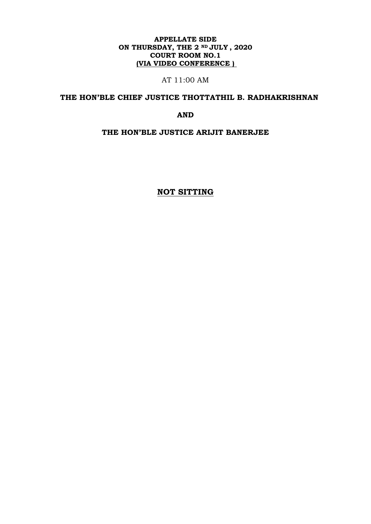## **APPELLATE SIDE ON THURSDAY, THE 2 ND JULY , 2020 COURT ROOM NO.1 (VIA VIDEO CONFERENCE )**

AT 11:00 AM

# **THE HON'BLE CHIEF JUSTICE THOTTATHIL B. RADHAKRISHNAN**

**AND**

**THE HON'BLE JUSTICE ARIJIT BANERJEE**

**NOT SITTING**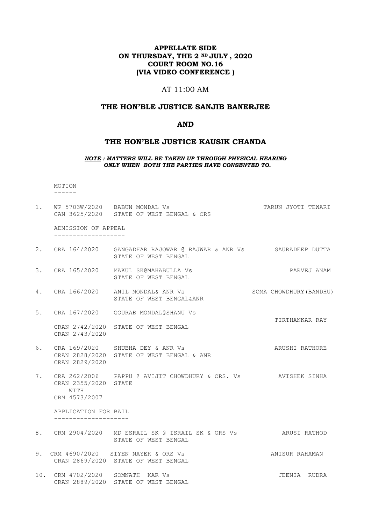## **APPELLATE SIDE ON THURSDAY, THE 2 ND JULY , 2020 COURT ROOM NO.16 (VIA VIDEO CONFERENCE )**

# AT 11:00 AM

#### **THE HON'BLE JUSTICE SANJIB BANERJEE**

#### **AND**

#### **THE HON'BLE JUSTICE KAUSIK CHANDA**

#### *NOTE : MATTERS WILL BE TAKEN UP THROUGH PHYSICAL HEARING ONLY WHEN BOTH THE PARTIES HAVE CONSENTED TO.*

 MOTION ------

|    |                                               | 1. WP 5703W/2020 BABUN MONDAL Vs<br>CAN 3625/2020 STATE OF WEST BENGAL & ORS                | TARUN JYOTI TEWARI      |
|----|-----------------------------------------------|---------------------------------------------------------------------------------------------|-------------------------|
|    | ADMISSION OF APPEAL<br>--------------------   |                                                                                             |                         |
|    |                                               | 2. CRA 164/2020 GANGADHAR RAJOWAR @ RAJWAR & ANR Vs SAURADEEP DUTTA<br>STATE OF WEST BENGAL |                         |
|    |                                               | 3. CRA 165/2020 MAKUL SK@MAHABULLA Vs<br>STATE OF WEST BENGAL                               | PARVEJ ANAM             |
|    |                                               | 4. CRA 166/2020 ANIL MONDAL& ANR Vs<br>STATE OF WEST BENGAL&ANR                             | SOMA CHOWDHURY (BANDHU) |
| 5. |                                               | CRA 167/2020 GOURAB MONDAL@SHANU Vs                                                         | TIRTHANKAR RAY          |
|    | CRAN 2743/2020                                | CRAN 2742/2020 STATE OF WEST BENGAL                                                         |                         |
|    | CRAN 2829/2020                                | 6. CRA 169/2020 SHUBHA DEY & ANR Vs<br>CRAN 2828/2020 STATE OF WEST BENGAL & ANR            | ARUSHI RATHORE          |
|    | CRAN 2355/2020 STATE<br>WITH<br>CRM 4573/2007 | 7. CRA 262/2006 PAPPU @ AVIJIT CHOWDHURY & ORS. Vs AVISHEK SINHA                            |                         |
|    | APPLICATION FOR BAIL                          |                                                                                             |                         |
|    |                                               | 8. CRM 2904/2020 MD ESRAIL SK @ ISRAIL SK & ORS Vs ARUSI RATHOD<br>STATE OF WEST BENGAL     |                         |
|    |                                               | 9. CRM 4690/2020 SIYEN NAYEK & ORS Vs<br>CRAN 2869/2020 STATE OF WEST BENGAL                | ANISUR RAHAMAN          |
|    | 10. CRM 4702/2020 SOMNATH KAR Vs              |                                                                                             | JEENIA RUDRA            |

CRAN 2889/2020 SCHWITH HIR TO BENGAL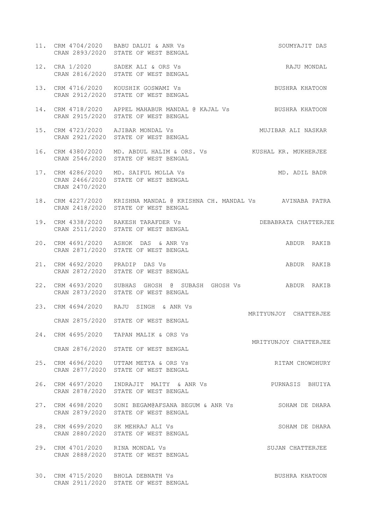- 11. CRM 4704/2020 BABU DALUI & ANR Vs SOUMYAJIT DAS CRAN 2893/2020 STATE OF WEST BENGAL
- 12. CRA 1/2020 SADEK ALI & ORS Vs RAJU MONDAL CRAN 2816/2020 STATE OF WEST BENGAL
- 13. CRM 4716/2020 KOUSHIK GOSWAMI Vs BUSHRA KHATOON CRAN 2912/2020 STATE OF WEST BENGAL
- 14. CRM 4718/2020 APPEL MAHABUR MANDAL @ KAJAL Vs BUSHRA KHATOON CRAN 2915/2020 STATE OF WEST BENGAL
- 15. CRM 4723/2020 AJIBAR MONDAL Vs MUJIBAR ALI NASKAR CRAN 2921/2020 STATE OF WEST BENGAL
- 16. CRM 4380/2020 MD. ABDUL HALIM & ORS. Vs KUSHAL KR. MUKHERJEE CRAN 2546/2020 STATE OF WEST BENGAL
- 17. CRM 4286/2020 MD. SAIFUL MOLLA Vs MD. ADIL BADR CRAN 2466/2020 STATE OF WEST BENGAL CRAN 2470/2020
- 18. CRM 4227/2020 KRISHNA MANDAL @ KRISHNA CH. MANDAL Vs AVINABA PATRA CRAN 2418/2020 STATE OF WEST BENGAL
- 19. CRM 4338/2020 RAKESH TARAFDER Vs DEBABRATA CHATTERJEE CRAN 2511/2020 STATE OF WEST BENGAL
- 20. CRM 4691/2020 ASHOK DAS & ANR Vs ABDUR RAKIB CRAN 2871/2020 STATE OF WEST BENGAL
- 21. CRM 4692/2020 PRADIP DAS Vs ABDUR RAKIB CRAN 2872/2020 STATE OF WEST BENGAL
- 22. CRM 4693/2020 SUBHAS GHOSH @ SUBASH GHOSH Vs ABDUR RAKIB CRAN 2873/2020 STATE OF WEST BENGAL

MRITYUNJOY CHATTERJEE

MRITYUNJOY CHATTERJEE

- 23. CRM 4694/2020 RAJU SINGH & ANR Vs CRAN 2875/2020 STATE OF WEST BENGAL
- 24. CRM 4695/2020 TAPAN MALIK & ORS Vs CRAN 2876/2020 STATE OF WEST BENGAL
- 25. CRM 4696/2020 UTTAM METYA & ORS Vs RITAM CHOWDHURY CRAN 2877/2020 STATE OF WEST BENGAL
- 26. CRM 4697/2020 INDRAJIT MAITY & ANR Vs PURNASIS BHUIYA CRAN 2878/2020 STATE OF WEST BENGAL
- 27. CRM 4698/2020 SONI BEGAM@AFSANA BEGUM & ANR Vs SOHAM DE DHARA CRAN 2879/2020 STATE OF WEST BENGAL
- 28. CRM 4699/2020 SK MEHRAJ ALI Vs SOHAM DE DHARA CRAN 2880/2020 STATE OF WEST BENGAL
- 29. CRM 4701/2020 RINA MONDAL Vs SUJAN CHATTERJEE CRAN 2888/2020 STATE OF WEST BENGAL
- 30. CRM 4715/2020 BHOLA DEBNATH Vs BUSHRA KHATOON CRAN 2911/2020 STATE OF WEST BENGAL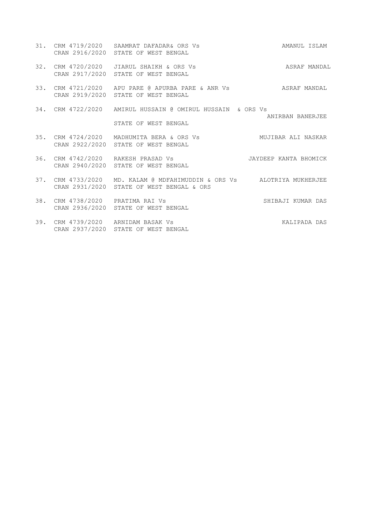31. CRM 4719/2020 SAAMRAT DAFADAR& ORS Vs AMANUL ISLAM CRAN 2916/2020 STATE OF WEST BENGAL 32. CRM 4720/2020 JIARUL SHAIKH & ORS Vs **ASRAF MANDAL**  CRAN 2917/2020 STATE OF WEST BENGAL 33. CRM 4721/2020 APU PARE @ APURBA PARE & ANR Vs ASRAF MANDAL CRAN 2919/2020 STATE OF WEST BENGAL 34. CRM 4722/2020 AMIRUL HUSSAIN @ OMIRUL HUSSAIN & ORS Vs ANIRBAN BANERJEE STATE OF WEST BENGAL 35. CRM 4724/2020 MADHUMITA BERA & ORS Vs MUJIBAR ALI NASKAR CRAN 2922/2020 STATE OF WEST BENGAL 36. CRM 4742/2020 RAKESH PRASAD Vs JAYDEEP KANTA BHOMICK CRAN 2940/2020 STATE OF WEST BENGAL 37. CRM 4733/2020 MD. KALAM @ MDFAHIMUDDIN & ORS Vs ALOTRIYA MUKHERJEE CRAN 2931/2020 STATE OF WEST BENGAL & ORS 38. CRM 4738/2020 PRATIMA RAI Vs SHIBAJI KUMAR DAS CRAN 2936/2020 STATE OF WEST BENGAL 39. CRM 4739/2020 ARNIDAM BASAK Vs Sand Control of the KALIPADA DAS CRAN 2937/2020 STATE OF WEST BENGAL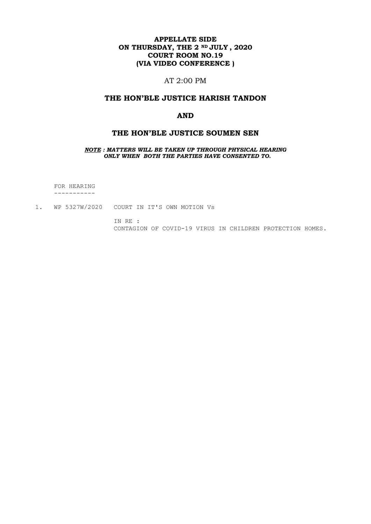## **APPELLATE SIDE ON THURSDAY, THE 2 ND JULY , 2020 COURT ROOM NO.19 (VIA VIDEO CONFERENCE )**

# AT 2:00 PM

#### **THE HON'BLE JUSTICE HARISH TANDON**

#### **AND**

#### **THE HON'BLE JUSTICE SOUMEN SEN**

*NOTE : MATTERS WILL BE TAKEN UP THROUGH PHYSICAL HEARING ONLY WHEN BOTH THE PARTIES HAVE CONSENTED TO.*

 FOR HEARING -----------

1. WP 5327W/2020 COURT IN IT'S OWN MOTION Vs

 IN RE : CONTAGION OF COVID-19 VIRUS IN CHILDREN PROTECTION HOMES.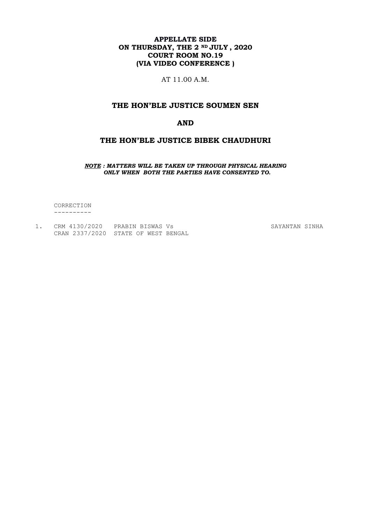## **APPELLATE SIDE ON THURSDAY, THE 2 ND JULY , 2020 COURT ROOM NO.19 (VIA VIDEO CONFERENCE )**

AT 11.00 A.M.

# **THE HON'BLE JUSTICE SOUMEN SEN**

#### **AND**

## **THE HON'BLE JUSTICE BIBEK CHAUDHURI**

*NOTE : MATTERS WILL BE TAKEN UP THROUGH PHYSICAL HEARING ONLY WHEN BOTH THE PARTIES HAVE CONSENTED TO.*

 CORRECTION ----------

| CRM 4130/2020                       | PRABIN BISWAS VS |  |
|-------------------------------------|------------------|--|
| CRAN 2337/2020 STATE OF WEST BENGAL |                  |  |

SAYANTAN SINHA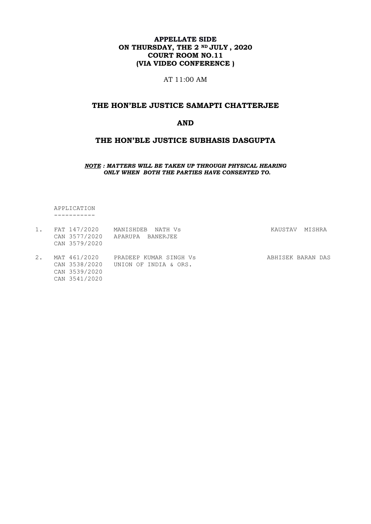## **APPELLATE SIDE ON THURSDAY, THE 2 ND JULY , 2020 COURT ROOM NO.11 (VIA VIDEO CONFERENCE )**

AT 11:00 AM

## **THE HON'BLE JUSTICE SAMAPTI CHATTERJEE**

#### **AND**

### **THE HON'BLE JUSTICE SUBHASIS DASGUPTA**

*NOTE : MATTERS WILL BE TAKEN UP THROUGH PHYSICAL HEARING ONLY WHEN BOTH THE PARTIES HAVE CONSENTED TO.*

 APPLICATION -----------

| 1. | FAT 147/2020<br>CAN 3577/2020<br>CAN 3579/2020                  | MANISHDEB<br>NATH Vs<br>APARUPA BANERJEE        | KAUSTAV           | MISHRA |  |
|----|-----------------------------------------------------------------|-------------------------------------------------|-------------------|--------|--|
| 2. | MAT 461/2020<br>CAN 3538/2020<br>CAN 3539/2020<br>CAN 3541/2020 | PRADEEP KUMAR SINGH Vs<br>UNION OF INDIA & ORS. | ABHISEK BARAN DAS |        |  |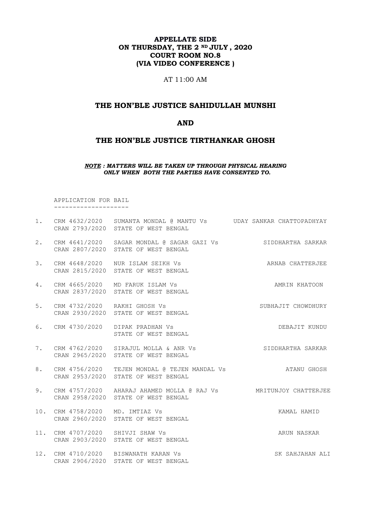## **APPELLATE SIDE ON THURSDAY, THE 2 ND JULY , 2020 COURT ROOM NO.8 (VIA VIDEO CONFERENCE )**

AT 11:00 AM

## **THE HON'BLE JUSTICE SAHIDULLAH MUNSHI**

#### **AND**

## **THE HON'BLE JUSTICE TIRTHANKAR GHOSH**

#### *NOTE : MATTERS WILL BE TAKEN UP THROUGH PHYSICAL HEARING ONLY WHEN BOTH THE PARTIES HAVE CONSENTED TO.*

 APPLICATION FOR BAIL --------------------

|    |                                  | 1. CRM 4632/2020 SUMANTA MONDAL @ MANTU Vs UDAY SANKAR CHATTOPADHYAY<br>CRAN 2793/2020 STATE OF WEST BENGAL |                    |
|----|----------------------------------|-------------------------------------------------------------------------------------------------------------|--------------------|
| 2. |                                  | CRM 4641/2020 SAGAR MONDAL @ SAGAR GAZI Vs SIDDHARTHA SARKAR<br>CRAN 2807/2020 STATE OF WEST BENGAL         |                    |
| 3. |                                  | CRM 4648/2020 NUR ISLAM SEIKH Vs<br>CRAN 2815/2020 STATE OF WEST BENGAL                                     | ARNAB CHATTERJEE   |
| 4. |                                  | CRM 4665/2020 MD FARUK ISLAM Vs<br>CRAN 2837/2020 STATE OF WEST BENGAL                                      | AMRIN KHATOON      |
| 5. | CRM 4732/2020 RAKHI GHOSH Vs     | CRAN 2930/2020 STATE OF WEST BENGAL                                                                         | SUBHAJIT CHOWDHURY |
| 6. |                                  | CRM 4730/2020 DIPAK PRADHAN Vs<br>STATE OF WEST BENGAL                                                      | DEBAJIT KUNDU      |
| 7. |                                  | CRM 4762/2020 SIRAJUL MOLLA & ANR Vs<br>CRAN 2965/2020 STATE OF WEST BENGAL                                 | SIDDHARTHA SARKAR  |
| 8. |                                  | CRM 4756/2020 TEJEN MONDAL @ TEJEN MANDAL Vs<br>CRAN 2953/2020 STATE OF WEST BENGAL                         | ATANU GHOSH        |
| 9. |                                  | CRM 4757/2020 AHARAJ AHAMED MOLLA @ RAJ Vs MRITUNJOY CHATTERJEE<br>CRAN 2958/2020 STATE OF WEST BENGAL      |                    |
|    | 10. CRM 4758/2020 MD. IMTIAZ Vs  | CRAN 2960/2020 STATE OF WEST BENGAL                                                                         | KAMAL HAMID        |
|    | 11. CRM 4707/2020 SHIVJI SHAW Vs | CRAN 2903/2020 STATE OF WEST BENGAL                                                                         | ARUN NASKAR        |
|    |                                  | 12. CRM 4710/2020 BISWANATH KARAN Vs<br>CRAN 2906/2020 STATE OF WEST BENGAL                                 | SK SAHJAHAN ALI    |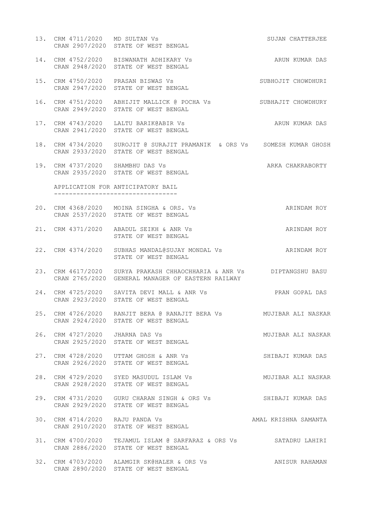- 13. CRM 4711/2020 MD SULTAN Vs SUJAN CHATTERJEE CRAN 2907/2020 STATE OF WEST BENGAL 14. CRM 4752/2020 BISWANATH ADHIKARY Vs ARUN KUMAR DAS CRAN 2948/2020 STATE OF WEST BENGAL 15. CRM 4750/2020 PRASAN BISWAS Vs SUBHOJIT CHOWDHURI CRAN 2947/2020 STATE OF WEST BENGAL
- 16. CRM 4751/2020 ABHIJIT MALLICK @ POCHA Vs SUBHAJIT CHOWDHURY CRAN 2949/2020 STATE OF WEST BENGAL
- 17. CRM 4743/2020 LALTU BARIK@ABIR Vs ARUN KUMAR DAS CRAN 2941/2020 STATE OF WEST BENGAL
- 18. CRM 4734/2020 SUROJIT @ SURAJIT PRAMANIK & ORS Vs SOMESH KUMAR GHOSH CRAN 2933/2020 STATE OF WEST BENGAL
- 19. CRM 4737/2020 SHAMBHU DAS Vs **ARKA CHAKRABORTY** CRAN 2935/2020 STATE OF WEST BENGAL

 APPLICATION FOR ANTICIPATORY BAIL ---------------------------------

- 20. CRM 4368/2020 MOINA SINGHA & ORS. Vs ARINDAM ROY CRAN 2537/2020 STATE OF WEST BENGAL
- 21. CRM 4371/2020 ABADUL SEIKH & ANR Vs ARINDAM ROY STATE OF WEST BENGAL
- 22. CRM 4374/2020 SUBHAS MANDAL@SUJAY MONDAL Vs ARINDAM ROY STATE OF WEST BENGAL
- 23. CRM 4617/2020 SURYA PRAKASH CHHAOCHHARIA & ANR Vs DIPTANGSHU BASU CRAN 2765/2020 GENERAL MANAGER OF EASTERN RAILWAY
- 24. CRM 4725/2020 SAVITA DEVI MALL & ANR Vs PRAN GOPAL DAS CRAN 2923/2020 STATE OF WEST BENGAL
- 25. CRM 4726/2020 RANJIT BERA @ RANAJIT BERA Vs MUJIBAR ALI NASKAR CRAN 2924/2020 STATE OF WEST BENGAL
- 26. CRM 4727/2020 JHARNA DAS Vs MUJIBAR ALI NASKAR CRAN 2925/2020 STATE OF WEST BENGAL
- 27. CRM 4728/2020 UTTAM GHOSH & ANR Vs SHIBAJI KUMAR DAS CRAN 2926/2020 STATE OF WEST BENGAL
- 28. CRM 4729/2020 SYED MASUDUL ISLAM Vs MUJIBAR ALI NASKAR CRAN 2928/2020 STATE OF WEST BENGAL
- 29. CRM 4731/2020 GURU CHARAN SINGH & ORS Vs SHIBAJI KUMAR DAS CRAN 2929/2020 STATE OF WEST BENGAL
- 30. CRM 4714/2020 RAJU PANDA Vs AMAL KRISHNA SAMANTA CRAN 2910/2020 STATE OF WEST BENGAL
- 31. CRM 4700/2020 TEJAMUL ISLAM @ SARFARAZ & ORS Vs SATADRU LAHIRI CRAN 2886/2020 STATE OF WEST BENGAL
- 32. CRM 4703/2020 ALAMGIR SK@HALER & ORS Vs ANISUR RAHAMAN CRAN 2890/2020 STATE OF WEST BENGAL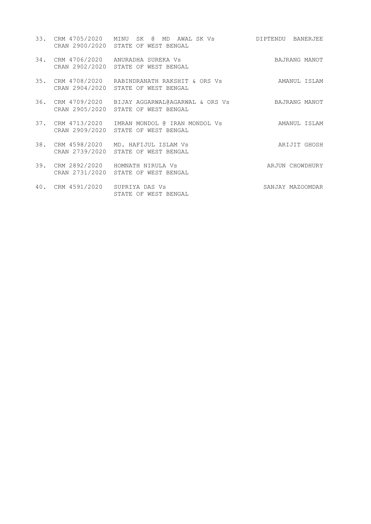|                                  | 33. CRM 4705/2020 MINU SK @ MD AWAL SK Vs DIPTENDU BANERJEE<br>CRAN 2900/2020 STATE OF WEST BENGAL |                  |
|----------------------------------|----------------------------------------------------------------------------------------------------|------------------|
|                                  | 34. CRM 4706/2020 ANURADHA SUREKA Vs<br>CRAN 2902/2020 STATE OF WEST BENGAL                        | BAJRANG MANOT    |
|                                  | 35. CRM 4708/2020 RABINDRANATH RAKSHIT & ORS Vs<br>CRAN 2904/2020 STATE OF WEST BENGAL             | AMANUL ISLAM     |
|                                  | 36. CRM 4709/2020 BIJAY AGGARWAL@AGARWAL & ORS Vs<br>CRAN 2905/2020 STATE OF WEST BENGAL           | BAJRANG MANOT    |
|                                  | 37. CRM 4713/2020 IMRAN MONDOL @ IRAN MONDOL Vs<br>CRAN 2909/2020 STATE OF WEST BENGAL             | AMANUL ISLAM     |
|                                  | 38. CRM 4598/2020 MD. HAFIJUL ISLAM Vs<br>CRAN 2739/2020 STATE OF WEST BENGAL                      | ARIJIT GHOSH     |
|                                  | 39. CRM 2892/2020 HOMNATH NIRULA Vs<br>CRAN 2731/2020 STATE OF WEST BENGAL                         | ARJUN CHOWDHURY  |
| 40. CRM 4591/2020 SUPRIYA DAS Vs | STATE OF WEST BENGAL                                                                               | SANJAY MAZOOMDAR |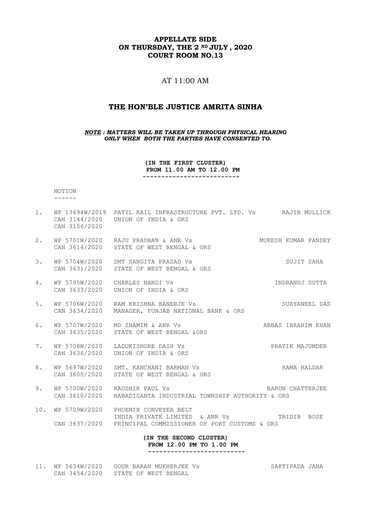### **APPELLATE SIDE ON THURSDAY, THE 2 ND JULY , 2020 COURT ROOM NO.13**

# $AT 11:00 AM$

## **THE HON'BLE JUSTICE AMRITA SINHA**

*NOTE : MATTERS WILL BE TAKEN UP THROUGH PHYSICAL HEARING ONLY WHEN BOTH THE PARTIES HAVE CONSENTED TO.*

> **(IN THE FIRST CLUSTER) FROM 11.00 AM TO 12.00 PM --------------------------**

 MOTION ------

1. WP 13694W/2019 PATIL RAIL INFRASTRUCTURE PVT. LTD. Vs RAJIB MULLICK CAN 3144/2020 UNION OF INDIA & ORS CAN 3156/2020 2. WP 5701W/2020 RAJU PRADHAN & ANR Vs MUKESH KUMAR PANDEY CAN 3614/2020 STATE OF WEST BENGAL & ORS 3. WP 5704W/2020 SMT SANGITA PRASAD Vs SUJIT SAHA CAN 3631/2020 STATE OF WEST BENGAL & ORS 4. WP 5705W/2020 CHARLES NANDI Vs INDRANUJ DUTTA CAN 3633/2020 UNION OF INDIA & ORS 5. WP 5706W/2020 RAM KRISHNA BANERJE Vs SURYANEEL DAS CAN 3634/2020 MANAGER, PUNJAB NATIONAL BANK & ORS 6. WP 5707W/2020 MD SHAMIM & ANR Vs AND ABBAS IBRAHIM KHAN CAN 3635/2020 STATE OF WEST BENGAL &ORS 7. WP 5708W/2020 LADUKISHORE DASH Vs PRATIK MAJUMDER CAN 3636/2020 UNION OF INDIA & ORS 8. WP 5697W/2020 SMT. KANCHANI BARMAN Vs SAMA HALDAR CAN 3600/2020 STATE OF WEST BENGAL & ORS 9. WP 5700W/2020 KAUSHIK PAUL Vs **BARUN CHATTERJEE**  CAN 3610/2020 NABADIGANTA INDUSTRIAL TOWNSHIP AUTHORITY & ORS 10. WP 5709W/2020 PHOENIX CONVEYER BELT INDIA PRIVATE LIMITED & ANR Vs TRIDIB BOSE CAN 3637/2020 PRINCIPAL COMMISSIONER OF PORT CUSTOMS & ORS **(IN THE SECOND CLUSTER) FROM 12.00 PM TO 1.00 PM --------------------------** 11. WP 5634W/2020 GOUR BARAN MUKHERJEE Vs SAKTIPADA JANA

CAN 3454/2020 STATE OF WEST BENGAL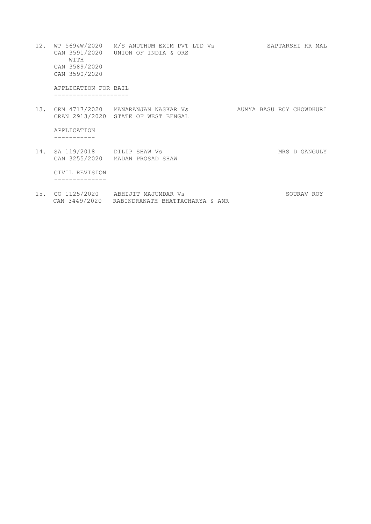- 12. WP 5694W/2020 M/S ANUTHUM EXIM PVT LTD Vs SAPTARSHI KR MAL CAN 3591/2020 UNION OF INDIA & ORS WITH CAN 3589/2020 CAN 3590/2020 APPLICATION FOR BAIL -------------------- 13. CRM 4717/2020 MANARANJAN NASKAR Vs AUMYA BASU ROY CHOWDHURI CRAN 2913/2020 STATE OF WEST BENGAL APPLICATION ----------- 14. SA 119/2018 DILIP SHAW Vs MRS D GANGULY CAN 3255/2020 MADAN PROSAD SHAW CIVIL REVISION --------------
- 15. CO 1125/2020 ABHIJIT MAJUMDAR Vs SOURAV ROY CAN 3449/2020 RABINDRANATH BHATTACHARYA & ANR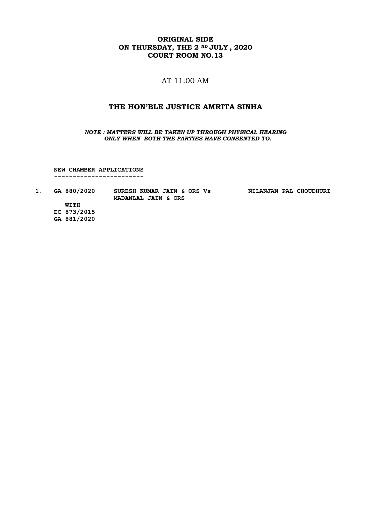# **ORIGINAL SIDE ON THURSDAY, THE 2 ND JULY , 2020 COURT ROOM NO.13**

# AT 11:00 AM

#### **THE HON'BLE JUSTICE AMRITA SINHA**

*NOTE : MATTERS WILL BE TAKEN UP THROUGH PHYSICAL HEARING ONLY WHEN BOTH THE PARTIES HAVE CONSENTED TO.*

 **NEW CHAMBER APPLICATIONS ------------------------**

| GA 880/2020 | SURESH KUMAR JAIN & ORS Vs<br>MADANLAL JAIN & ORS | NILANJAN PAL CHOUDHURI |
|-------------|---------------------------------------------------|------------------------|
| <b>WITH</b> |                                                   |                        |

 **EC 873/2015 GA 881/2020**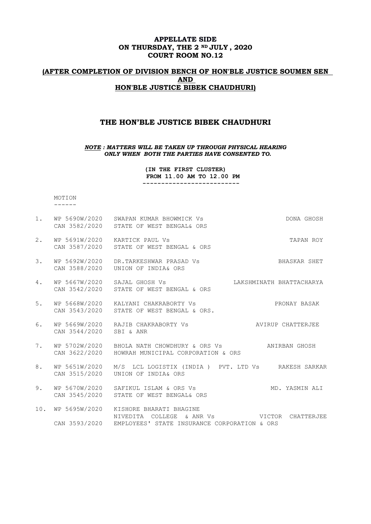### **APPELLATE SIDE ON THURSDAY, THE 2 ND JULY , 2020 COURT ROOM NO.12**

# **(AFTER COMPLETION OF DIVISION BENCH OF HON'BLE JUSTICE SOUMEN SEN AND HON'BLE JUSTICE BIBEK CHAUDHURI)**

#### **THE HON'BLE JUSTICE BIBEK CHAUDHURI**

#### *NOTE : MATTERS WILL BE TAKEN UP THROUGH PHYSICAL HEARING ONLY WHEN BOTH THE PARTIES HAVE CONSENTED TO.*

**(IN THE FIRST CLUSTER) FROM 11.00 AM TO 12.00 PM --------------------------**

 MOTION ------

| 1.  |                              | WP 5690W/2020 SWAPAN KUMAR BHOWMICK Vs<br>CAN 3582/2020 STATE OF WEST BENGAL& ORS                                     | DONA GHOSH                             |
|-----|------------------------------|-----------------------------------------------------------------------------------------------------------------------|----------------------------------------|
| 2.  | WP 5691W/2020                | KARTICK PAUL Vs<br>CAN 3587/2020 STATE OF WEST BENGAL & ORS                                                           | TAPAN ROY                              |
| 3.  | WP 5692W/2020                | DR.TARKESHWAR PRASAD Vs<br>CAN 3588/2020 UNION OF INDIA& ORS                                                          | BHASKAR SHET                           |
| 4.  | WP 5667W/2020 SAJAL GHOSH Vs | CAN 3542/2020 STATE OF WEST BENGAL & ORS                                                                              | LAKSHMINATH BHATTACHARYA               |
| 5.  |                              | WP 5668W/2020 KALYANI CHAKRABORTY Vs<br>CAN 3543/2020 STATE OF WEST BENGAL & ORS.                                     | PRONAY BASAK                           |
| 6.  | CAN 3544/2020 SBI & ANR      | WP 5669W/2020 RAJIB CHAKRABORTY Vs                                                                                    | AVIRUP CHATTERJEE                      |
| 7.  |                              | WP 5702W/2020 BHOLA NATH CHOWDHURY & ORS Vs<br>CAN 3622/2020 HOWRAH MUNICIPAL CORPORATION & ORS                       | ANIRBAN GHOSH                          |
| 8.  |                              | WP 5651W/2020 M/S LCL LOGISTIX (INDIA ) PVT. LTD Vs RAKESH SARKAR<br>CAN 3515/2020 UNION OF INDIA& ORS                |                                        |
| 9.  |                              | WP 5670W/2020 SAFIKUL ISLAM & ORS Vs<br>CAN 3545/2020 STATE OF WEST BENGAL& ORS                                       | MD. YASMIN ALI                         |
| 10. | WP 5695W/2020                | KISHORE BHARATI BHAGINE<br>NIVEDITA COLLEGE<br>& ANR Vs<br>CAN 3593/2020 EMPLOYEES' STATE INSURANCE CORPORATION & ORS | <b>Example 12</b> VICTOR<br>CHATTERJEE |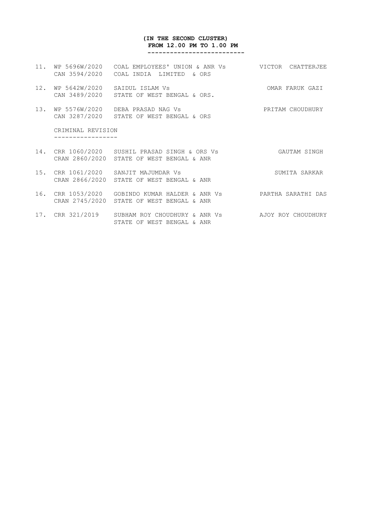#### **(IN THE SECOND CLUSTER) FROM 12.00 PM TO 1.00 PM --------------------------**

- 11. WP 5696W/2020 COAL EMPLOYEES' UNION & ANR Vs VICTOR CHATTERJEE CAN 3594/2020 COAL INDIA LIMITED & ORS
- 12. WP 5642W/2020 SAIDUL ISLAM Vs OMAR FARUK GAZI CAN 3489/2020 STATE OF WEST BENGAL & ORS.
- 13. WP 5576W/2020 DEBA PRASAD NAG Vs PRITAM CHOUDHURY CAN 3287/2020 STATE OF WEST BENGAL & ORS

 CRIMINAL REVISION -----------------

- 14. CRR 1060/2020 SUSHIL PRASAD SINGH & ORS Vs GAUTAM SINGH CRAN 2860/2020 STATE OF WEST BENGAL & ANR
- 15. CRR 1061/2020 SANJIT MAJUMDAR Vs SUMITA SARKAR CRAN 2866/2020 STATE OF WEST BENGAL & ANR
- 16. CRR 1053/2020 GOBINDO KUMAR HALDER & ANR Vs PARTHA SARATHI DAS CRAN 2745/2020 STATE OF WEST BENGAL & ANR
- 17. CRR 321/2019 SUBHAM ROY CHOUDHURY & ANR Vs AJOY ROY CHOUDHURY STATE OF WEST BENGAL & ANR